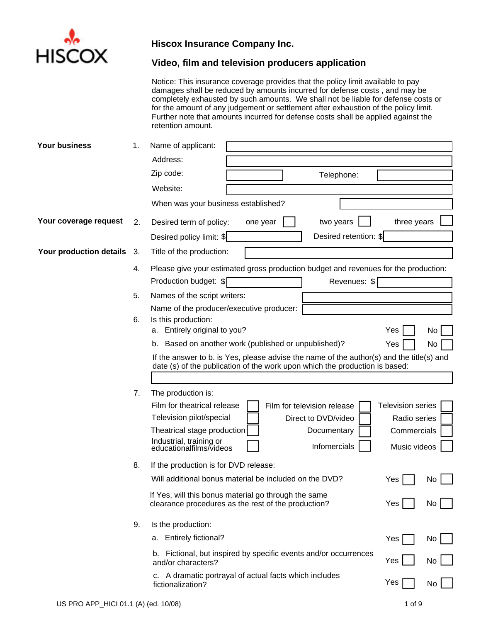

# **Video, film and television producers application**

Notice: This insurance coverage provides that the policy limit available to pay damages shall be reduced by amounts incurred for defense costs , and may be completely exhausted by such amounts. We shall not be liable for defense costs or for the amount of any judgement or settlement after exhaustion of the policy limit. Further note that amounts incurred for defense costs shall be applied against the retention amount.

| Your business           | 1.  | Name of applicant:                                                                                                                                                      |
|-------------------------|-----|-------------------------------------------------------------------------------------------------------------------------------------------------------------------------|
|                         |     | Address:                                                                                                                                                                |
|                         |     | Zip code:<br>Telephone:                                                                                                                                                 |
|                         |     | Website:                                                                                                                                                                |
|                         |     | When was your business established?                                                                                                                                     |
| Your coverage request   | 2.  | Desired term of policy:<br>three years<br>two years<br>one year                                                                                                         |
|                         |     | Desired retention: \$<br>Desired policy limit: \$                                                                                                                       |
| Your production details | -3. | Title of the production:                                                                                                                                                |
|                         | 4.  | Please give your estimated gross production budget and revenues for the production:                                                                                     |
|                         |     | Production budget: \$<br>Revenues: \$                                                                                                                                   |
|                         | 5.  | Names of the script writers:                                                                                                                                            |
|                         |     | Name of the producer/executive producer:                                                                                                                                |
|                         | 6.  | Is this production:                                                                                                                                                     |
|                         |     | Entirely original to you?<br>Yes<br>No<br>а.                                                                                                                            |
|                         |     | b. Based on another work (published or unpublished)?<br>Yes<br>No                                                                                                       |
|                         |     | If the answer to b. is Yes, please advise the name of the author(s) and the title(s) and<br>date (s) of the publication of the work upon which the production is based: |
|                         |     |                                                                                                                                                                         |
|                         | 7.  | The production is:                                                                                                                                                      |
|                         |     | Film for theatrical release<br><b>Television series</b><br>Film for television release                                                                                  |
|                         |     | Television pilot/special<br>Direct to DVD/video<br>Radio series                                                                                                         |
|                         |     | Theatrical stage production<br>Documentary<br>Commercials                                                                                                               |
|                         |     | Industrial, training or<br>educationalfilms/videos<br>Infomercials<br>Music videos                                                                                      |
|                         | 8.  | If the production is for DVD release:                                                                                                                                   |
|                         |     | Will additional bonus material be included on the DVD?<br>Yes<br>No                                                                                                     |
|                         |     | If Yes, will this bonus material go through the same<br>Yes<br>No<br>clearance procedures as the rest of the production?                                                |
|                         | 9.  | Is the production:                                                                                                                                                      |
|                         |     | a. Entirely fictional?<br>Yes<br>No                                                                                                                                     |
|                         |     | Fictional, but inspired by specific events and/or occurrences<br>b.<br>Yes<br>No<br>and/or characters?                                                                  |
|                         |     | c. A dramatic portrayal of actual facts which includes                                                                                                                  |
|                         |     | Yes<br>No<br>fictionalization?                                                                                                                                          |
|                         |     |                                                                                                                                                                         |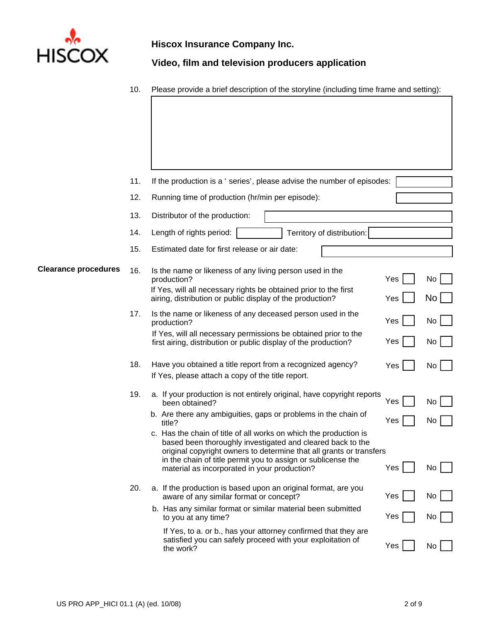

**Video, film and television producers application**

10. Please provide a brief description of the storyline (including time frame and setting):

|                             | 11. | If the production is a ' series', please advise the number of episodes:                                                                                                                                |     |           |
|-----------------------------|-----|--------------------------------------------------------------------------------------------------------------------------------------------------------------------------------------------------------|-----|-----------|
|                             | 12. | Running time of production (hr/min per episode):                                                                                                                                                       |     |           |
|                             | 13. | Distributor of the production:                                                                                                                                                                         |     |           |
|                             | 14. | Territory of distribution:<br>Length of rights period:                                                                                                                                                 |     |           |
|                             | 15. | Estimated date for first release or air date:                                                                                                                                                          |     |           |
| <b>Clearance procedures</b> | 16. | Is the name or likeness of any living person used in the<br>production?                                                                                                                                | Yes | No        |
|                             |     | If Yes, will all necessary rights be obtained prior to the first<br>airing, distribution or public display of the production?                                                                          | Yes | No        |
|                             | 17. | Is the name or likeness of any deceased person used in the<br>production?                                                                                                                              | Yes | <b>No</b> |
|                             |     | If Yes, will all necessary permissions be obtained prior to the<br>first airing, distribution or public display of the production?                                                                     | Yes | No        |
|                             | 18. | Have you obtained a title report from a recognized agency?<br>If Yes, please attach a copy of the title report.                                                                                        | Yes | No        |
|                             | 19. | a. If your production is not entirely original, have copyright reports<br>been obtained?                                                                                                               | Yes | No        |
|                             |     | b. Are there any ambiguities, gaps or problems in the chain of<br>title?                                                                                                                               | Yes | No        |
|                             |     | c. Has the chain of title of all works on which the production is<br>based been thoroughly investigated and cleared back to the<br>original copyright owners to determine that all grants or transfers |     |           |
|                             |     | in the chain of title permit you to assign or sublicense the<br>material as incorporated in your production?                                                                                           | Yes | No        |
|                             | 20. | a. If the production is based upon an original format, are you<br>aware of any similar format or concept?                                                                                              | Yes | No        |
|                             |     | b. Has any similar format or similar material been submitted<br>to you at any time?                                                                                                                    | Yes | No        |
|                             |     | If Yes, to a. or b., has your attorney confirmed that they are<br>satisfied you can safely proceed with your exploitation of<br>the work?                                                              | Yes | No        |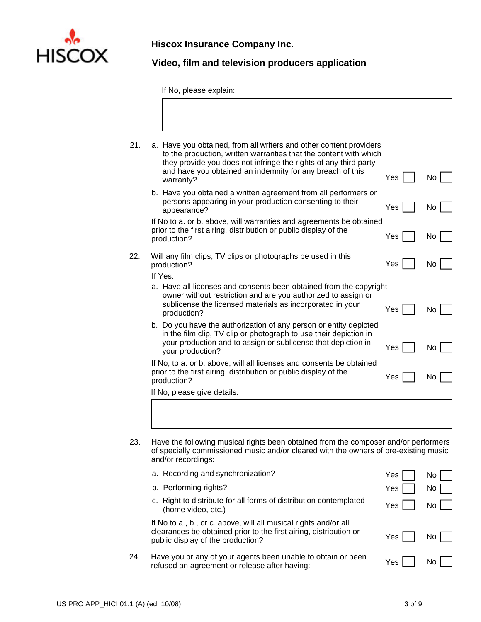

**Video, film and television producers application**

If No, please explain:

| 21. | a. Have you obtained, from all writers and other content providers<br>to the production, written warranties that the content with which<br>they provide you does not infringe the rights of any third party<br>and have you obtained an indemnity for any breach of this |     |           |
|-----|--------------------------------------------------------------------------------------------------------------------------------------------------------------------------------------------------------------------------------------------------------------------------|-----|-----------|
|     | warranty?                                                                                                                                                                                                                                                                | Yes | No.       |
|     | b. Have you obtained a written agreement from all performers or<br>persons appearing in your production consenting to their<br>appearance?                                                                                                                               | Yes | <b>No</b> |
|     | If No to a. or b. above, will warranties and agreements be obtained<br>prior to the first airing, distribution or public display of the<br>production?                                                                                                                   | Yes | No        |
| 22. | Will any film clips, TV clips or photographs be used in this<br>production?                                                                                                                                                                                              | Yes | No        |
|     | If Yes:                                                                                                                                                                                                                                                                  |     |           |
|     | a. Have all licenses and consents been obtained from the copyright<br>owner without restriction and are you authorized to assign or<br>sublicense the licensed materials as incorporated in your<br>production?                                                          | Yes | No.       |
|     | b. Do you have the authorization of any person or entity depicted<br>in the film clip, TV clip or photograph to use their depiction in<br>your production and to assign or sublicense that depiction in<br>your production?                                              | Yes | No.       |
|     | If No, to a. or b. above, will all licenses and consents be obtained<br>prior to the first airing, distribution or public display of the<br>production?                                                                                                                  | Yes | No.       |
|     | If No, please give details:                                                                                                                                                                                                                                              |     |           |

23. Have the following musical rights been obtained from the composer and/or performers of specially commissioned music and/or cleared with the owners of pre-existing music and/or recordings:

|     | a. Recording and synchronization?                                                                                                                                          | Yes   | No  |
|-----|----------------------------------------------------------------------------------------------------------------------------------------------------------------------------|-------|-----|
|     | b. Performing rights?                                                                                                                                                      | Yes   | No  |
|     | c. Right to distribute for all forms of distribution contemplated<br>(home video, etc.)                                                                                    | Yes   | No. |
|     | If No to a., b., or c. above, will all musical rights and/or all<br>clearances be obtained prior to the first airing, distribution or<br>public display of the production? | Yes I | No. |
| 24. | Have you or any of your agents been unable to obtain or been<br>refused an agreement or release after having:                                                              | Yes   |     |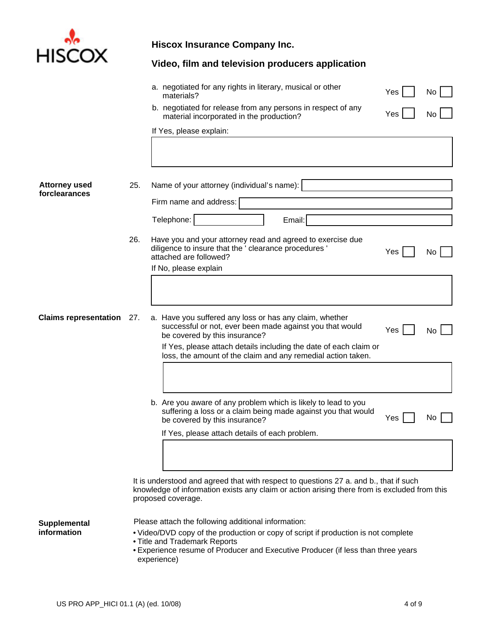

|                                       |     | Video, film and television producers application                                                                                                                                                            |     |    |
|---------------------------------------|-----|-------------------------------------------------------------------------------------------------------------------------------------------------------------------------------------------------------------|-----|----|
|                                       |     | a. negotiated for any rights in literary, musical or other<br>materials?                                                                                                                                    | Yes | No |
|                                       |     | b. negotiated for release from any persons in respect of any<br>material incorporated in the production?                                                                                                    | Yes | No |
|                                       |     | If Yes, please explain:                                                                                                                                                                                     |     |    |
| <b>Attorney used</b><br>forclearances | 25. | Name of your attorney (individual's name):<br>Firm name and address:                                                                                                                                        |     |    |
|                                       |     | Telephone:<br>Email:                                                                                                                                                                                        |     |    |
|                                       | 26. | Have you and your attorney read and agreed to exercise due<br>diligence to insure that the ' clearance procedures '<br>attached are followed?<br>If No, please explain                                      | Yes | No |
|                                       |     |                                                                                                                                                                                                             |     |    |
| <b>Claims representation</b> 27.      |     | a. Have you suffered any loss or has any claim, whether<br>successful or not, ever been made against you that would<br>be covered by this insurance?                                                        | Yes | No |
|                                       |     | If Yes, please attach details including the date of each claim or<br>loss, the amount of the claim and any remedial action taken.                                                                           |     |    |
|                                       |     |                                                                                                                                                                                                             |     |    |
|                                       |     | b. Are you aware of any problem which is likely to lead to you<br>suffering a loss or a claim being made against you that would<br>be covered by this insurance?                                            | Yes | No |
|                                       |     | If Yes, please attach details of each problem.                                                                                                                                                              |     |    |
|                                       |     |                                                                                                                                                                                                             |     |    |
|                                       |     | It is understood and agreed that with respect to questions 27 a. and b., that if such<br>knowledge of information exists any claim or action arising there from is excluded from this<br>proposed coverage. |     |    |

**Supplemental** 

- Please attach the following additional information:
- Video/DVD copy of the production or copy of script if production is not complete
- •Title and Trademark Reports
- •Experience resume of Producer and Executive Producer (if less than three years experience)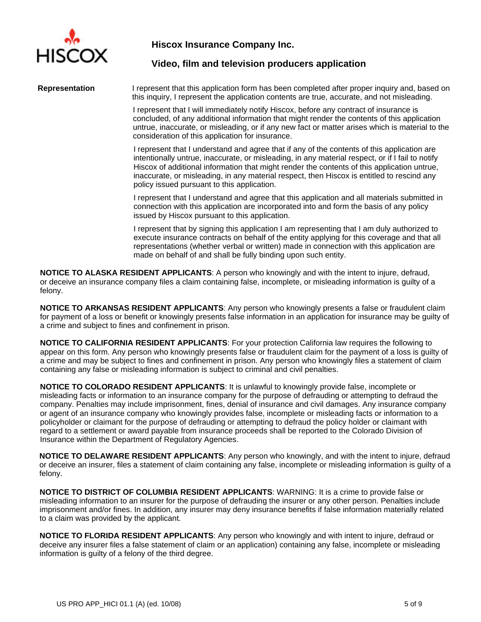

#### **Video, film and television producers application**

**Representation** I represent that this application form has been completed after proper inquiry and, based on this inquiry, I represent the application contents are true, accurate, and not misleading.

> I represent that I will immediately notify Hiscox, before any contract of insurance is concluded, of any additional information that might render the contents of this application untrue, inaccurate, or misleading, or if any new fact or matter arises which is material to the consideration of this application for insurance.

I represent that I understand and agree that if any of the contents of this application are intentionally untrue, inaccurate, or misleading, in any material respect, or if I fail to notify Hiscox of additional information that might render the contents of this application untrue, inaccurate, or misleading, in any material respect, then Hiscox is entitled to rescind any policy issued pursuant to this application.

I represent that I understand and agree that this application and all materials submitted in connection with this application are incorporated into and form the basis of any policy issued by Hiscox pursuant to this application.

I represent that by signing this application I am representing that I am duly authorized to execute insurance contracts on behalf of the entity applying for this coverage and that all representations (whether verbal or written) made in connection with this application are made on behalf of and shall be fully binding upon such entity.

**NOTICE TO ALASKA RESIDENT APPLICANTS**: A person who knowingly and with the intent to injure, defraud, or deceive an insurance company files a claim containing false, incomplete, or misleading information is guilty of a felony.

**NOTICE TO ARKANSAS RESIDENT APPLICANTS**: Any person who knowingly presents a false or fraudulent claim for payment of a loss or benefit or knowingly presents false information in an application for insurance may be guilty of a crime and subject to fines and confinement in prison.

**NOTICE TO CALIFORNIA RESIDENT APPLICANTS**: For your protection California law requires the following to appear on this form. Any person who knowingly presents false or fraudulent claim for the payment of a loss is guilty of a crime and may be subject to fines and confinement in prison. Any person who knowingly files a statement of claim containing any false or misleading information is subject to criminal and civil penalties.

**NOTICE TO COLORADO RESIDENT APPLICANTS**: It is unlawful to knowingly provide false, incomplete or misleading facts or information to an insurance company for the purpose of defrauding or attempting to defraud the company. Penalties may include imprisonment, fines, denial of insurance and civil damages. Any insurance company or agent of an insurance company who knowingly provides false, incomplete or misleading facts or information to a policyholder or claimant for the purpose of defrauding or attempting to defraud the policy holder or claimant with regard to a settlement or award payable from insurance proceeds shall be reported to the Colorado Division of Insurance within the Department of Regulatory Agencies.

**NOTICE TO DELAWARE RESIDENT APPLICANTS**: Any person who knowingly, and with the intent to injure, defraud or deceive an insurer, files a statement of claim containing any false, incomplete or misleading information is guilty of a felony.

**NOTICE TO DISTRICT OF COLUMBIA RESIDENT APPLICANTS**: WARNING: It is a crime to provide false or misleading information to an insurer for the purpose of defrauding the insurer or any other person. Penalties include imprisonment and/or fines. In addition, any insurer may deny insurance benefits if false information materially related to a claim was provided by the applicant.

**NOTICE TO FLORIDA RESIDENT APPLICANTS**: Any person who knowingly and with intent to injure, defraud or deceive any insurer files a false statement of claim or an application) containing any false, incomplete or misleading information is guilty of a felony of the third degree.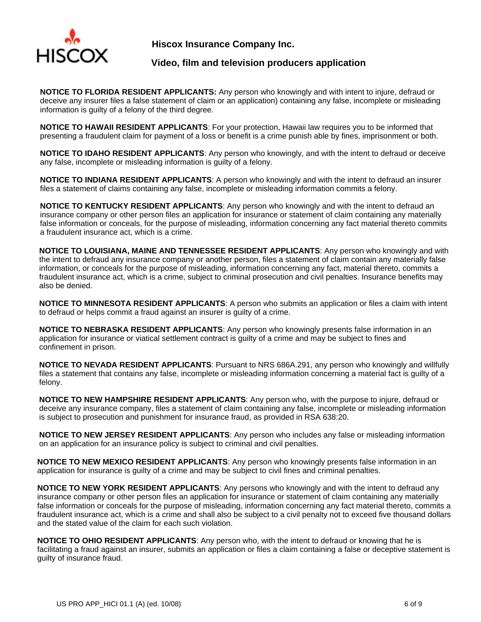

## **Video, film and television producers application**

**NOTICE TO FLORIDA RESIDENT APPLICANTS:** Any person who knowingly and with intent to injure, defraud or deceive any insurer files a false statement of claim or an application) containing any false, incomplete or misleading information is guilty of a felony of the third degree.

**NOTICE TO HAWAII RESIDENT APPLICANTS**: For your protection, Hawaii law requires you to be informed that presenting a fraudulent claim for payment of a loss or benefit is a crime punish able by fines, imprisonment or both.

**NOTICE TO IDAHO RESIDENT APPLICANTS**: Any person who knowingly, and with the intent to defraud or deceive any false, incomplete or misleading information is guilty of a felony.

**NOTICE TO INDIANA RESIDENT APPLICANTS**: A person who knowingly and with the intent to defraud an insurer files a statement of claims containing any false, incomplete or misleading information commits a felony.

**NOTICE TO KENTUCKY RESIDENT APPLICANTS:** Any person who knowingly and with the intent to defraud an insurance company or other person files an application for insurance or statement of claim containing any materially false information or conceals, for the purpose of misleading, information concerning any fact material thereto commits a fraudulent insurance act, which is a crime.

**NOTICE TO LOUISIANA, MAINE AND TENNESSEE RESIDENT APPLICANTS**: Any person who knowingly and with the intent to defraud any insurance company or another person, files a statement of claim contain any materially false information, or conceals for the purpose of misleading, information concerning any fact, material thereto, commits a fraudulent insurance act, which is a crime, subject to criminal prosecution and civil penalties. Insurance benefits may also be denied.

**NOTICE TO MINNESOTA RESIDENT APPLICANTS**: A person who submits an application or files a claim with intent to defraud or helps commit a fraud against an insurer is guilty of a crime.

**NOTICE TO NEBRASKA RESIDENT APPLICANTS**: Any person who knowingly presents false information in an application for insurance or viatical settlement contract is guilty of a crime and may be subject to fines and confinement in prison.

**NOTICE TO NEVADA RESIDENT APPLICANTS**: Pursuant to NRS 686A.291, any person who knowingly and willfully files a statement that contains any false, incomplete or misleading information concerning a material fact is guilty of a felony.

**NOTICE TO NEW HAMPSHIRE RESIDENT APPLICANTS**: Any person who, with the purpose to injure, defraud or deceive any insurance company, files a statement of claim containing any false, incomplete or misleading information is subject to prosecution and punishment for insurance fraud, as provided in RSA 638:20.

**NOTICE TO NEW JERSEY RESIDENT APPLICANTS**: Any person who includes any false or misleading information on an application for an insurance policy is subject to criminal and civil penalties.

**NOTICE TO NEW MEXICO RESIDENT APPLICANTS**: Any person who knowingly presents false information in an application for insurance is guilty of a crime and may be subject to civil fines and criminal penalties.

**NOTICE TO NEW YORK RESIDENT APPLICANTS**: Any persons who knowingly and with the intent to defraud any insurance company or other person files an application for insurance or statement of claim containing any materially false information or conceals for the purpose of misleading, information concerning any fact material thereto, commits a fraudulent insurance act, which is a crime and shall also be subject to a civil penalty not to exceed five thousand dollars and the stated value of the claim for each such violation.

**NOTICE TO OHIO RESIDENT APPLICANTS**: Any person who, with the intent to defraud or knowing that he is facilitating a fraud against an insurer, submits an application or files a claim containing a false or deceptive statement is guilty of insurance fraud.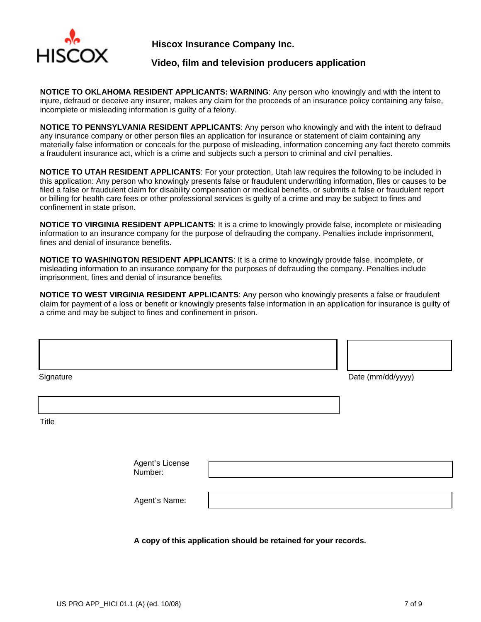

#### **Video, film and television producers application**

**NOTICE TO OKLAHOMA RESIDENT APPLICANTS: WARNING**: Any person who knowingly and with the intent to injure, defraud or deceive any insurer, makes any claim for the proceeds of an insurance policy containing any false, incomplete or misleading information is guilty of a felony.

**NOTICE TO PENNSYLVANIA RESIDENT APPLICANTS**: Any person who knowingly and with the intent to defraud any insurance company or other person files an application for insurance or statement of claim containing any materially false information or conceals for the purpose of misleading, information concerning any fact thereto commits a fraudulent insurance act, which is a crime and subjects such a person to criminal and civil penalties.

**NOTICE TO UTAH RESIDENT APPLICANTS**: For your protection, Utah law requires the following to be included in this application: Any person who knowingly presents false or fraudulent underwriting information, files or causes to be filed a false or fraudulent claim for disability compensation or medical benefits, or submits a false or fraudulent report or billing for health care fees or other professional services is guilty of a crime and may be subject to fines and confinement in state prison.

**NOTICE TO VIRGINIA RESIDENT APPLICANTS**: It is a crime to knowingly provide false, incomplete or misleading information to an insurance company for the purpose of defrauding the company. Penalties include imprisonment, fines and denial of insurance benefits.

**NOTICE TO WASHINGTON RESIDENT APPLICANTS**: It is a crime to knowingly provide false, incomplete, or misleading information to an insurance company for the purposes of defrauding the company. Penalties include imprisonment, fines and denial of insurance benefits.

**NOTICE TO WEST VIRGINIA RESIDENT APPLICANTS**: Any person who knowingly presents a false or fraudulent claim for payment of a loss or benefit or knowingly presents false information in an application for insurance is guilty of a crime and may be subject to fines and confinement in prison.

| Signature                  | Date (mm/dd/yyyy) |
|----------------------------|-------------------|
|                            |                   |
| Title                      |                   |
|                            |                   |
| Agent's License<br>Number: |                   |
| Agent's Name:              |                   |
|                            |                   |

**A copy of this application should be retained for your records.**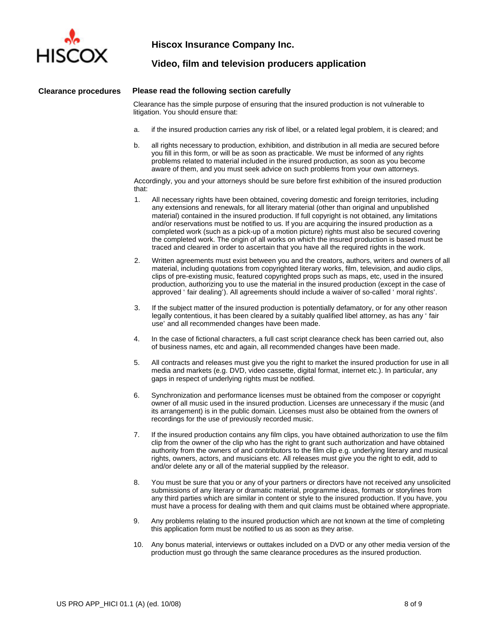

#### **Video, film and television producers application**

#### **Clearance procedures Please read the following section carefully**

Clearance has the simple purpose of ensuring that the insured production is not vulnerable to litigation. You should ensure that:

- a. if the insured production carries any risk of libel, or a related legal problem, it is cleared; and
- b. all rights necessary to production, exhibition, and distribution in all media are secured before you fill in this form, or will be as soon as practicable. We must be informed of any rights problems related to material included in the insured production, as soon as you become aware of them, and you must seek advice on such problems from your own attorneys.

Accordingly, you and your attorneys should be sure before first exhibition of the insured production that:

- 1. All necessary rights have been obtained, covering domestic and foreign territories, including any extensions and renewals, for all literary material (other than original and unpublished material) contained in the insured production. If full copyright is not obtained, any limitations and/or reservations must be notified to us. If you are acquiring the insured production as a completed work (such as a pick-up of a motion picture) rights must also be secured covering the completed work. The origin of all works on which the insured production is based must be traced and cleared in order to ascertain that you have all the required rights in the work.
- 2. Written agreements must exist between you and the creators, authors, writers and owners of all material, including quotations from copyrighted literary works, film, television, and audio clips, clips of pre-existing music, featured copyrighted props such as maps, etc, used in the insured production, authorizing you to use the material in the insured production (except in the case of approved 'fair dealing'). All agreements should include a waiver of so-called 'moral rights'.
- 3. If the subject matter of the insured production is potentially defamatory, or for any other reason legally contentious, it has been cleared by a suitably qualified libel attorney, as has any 'fair use' and all recommended changes have been made.
- 4. In the case of fictional characters, a full cast script clearance check has been carried out, also of business names, etc and again, all recommended changes have been made.
- 5. All contracts and releases must give you the right to market the insured production for use in all media and markets (e.g. DVD, video cassette, digital format, internet etc.). In particular, any gaps in respect of underlying rights must be notified.
- 6. Synchronization and performance licenses must be obtained from the composer or copyright owner of all music used in the insured production. Licenses are unnecessary if the music (and its arrangement) is in the public domain. Licenses must also be obtained from the owners of recordings for the use of previously recorded music.
- 7. If the insured production contains any film clips, you have obtained authorization to use the film clip from the owner of the clip who has the right to grant such authorization and have obtained authority from the owners of and contributors to the film clip e.g. underlying literary and musical rights, owners, actors, and musicians etc. All releases must give you the right to edit, add to and/or delete any or all of the material supplied by the releasor.
- 8. You must be sure that you or any of your partners or directors have not received any unsolicited submissions of any literary or dramatic material, programme ideas, formats or storylines from any third parties which are similar in content or style to the insured production. If you have, you must have a process for dealing with them and quit claims must be obtained where appropriate.
- 9. Any problems relating to the insured production which are not known at the time of completing this application form must be notified to us as soon as they arise.
- 10. Any bonus material, interviews or outtakes included on a DVD or any other media version of the production must go through the same clearance procedures as the insured production.